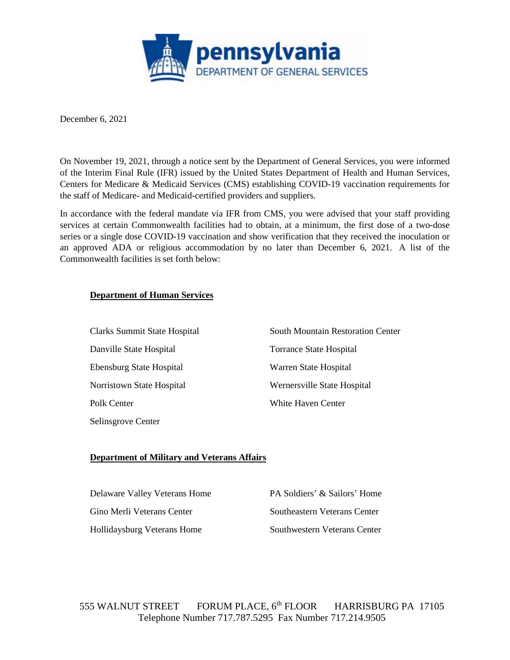

December 6, 2021

On November 19, 2021, through a notice sent by the Department of General Services, you were informed of the Interim Final Rule (IFR) issued by the United States Department of Health and Human Services, Centers for Medicare & Medicaid Services (CMS) establishing COVID-19 vaccination requirements for the staff of Medicare- and Medicaid-certified providers and suppliers.

In accordance with the federal mandate via IFR from CMS, you were advised that your staff providing services at certain Commonwealth facilities had to obtain, at a minimum, the first dose of a two-dose series or a single dose COVID-19 vaccination and show verification that they received the inoculation or an approved ADA or religious accommodation by no later than December 6, 2021. A list of the Commonwealth facilities is set forth below:

## *<sup>U</sup>***Department of Human Services**

| Clarks Summit State Hospital | <b>South Mountain Restoration Center</b> |
|------------------------------|------------------------------------------|
| Danville State Hospital      | Torrance State Hospital                  |
| Ebensburg State Hospital     | Warren State Hospital                    |
| Norristown State Hospital    | Wernersville State Hospital              |
| Polk Center                  | White Haven Center                       |
| Selinsgrove Center           |                                          |

## *<sup>U</sup>***Department of Military and Veterans Affairs**

| Delaware Valley Veterans Home | PA Soldiers' & Sailors' Home |
|-------------------------------|------------------------------|
| Gino Merli Veterans Center    | Southeastern Veterans Center |
| Hollidaysburg Veterans Home   | Southwestern Veterans Center |

555 WALNUT STREET FORUM PLACE, 6<sup>th</sup> FLOOR HARRISBURG PA 17105 Telephone Number 717.787.5295 Fax Number 717.214.9505